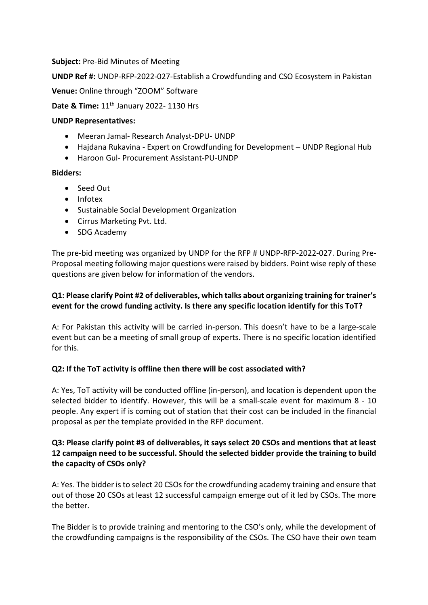**Subject:** Pre-Bid Minutes of Meeting

**UNDP Ref #:** UNDP-RFP-2022-027-Establish a Crowdfunding and CSO Ecosystem in Pakistan

**Venue:** Online through "ZOOM" Software

**Date & Time:** 11<sup>th</sup> January 2022- 1130 Hrs

#### **UNDP Representatives:**

- Meeran Jamal- Research Analyst-DPU- UNDP
- Hajdana Rukavina Expert on Crowdfunding for Development UNDP Regional Hub
- Haroon Gul- Procurement Assistant-PU-UNDP

### **Bidders:**

- Seed Out
- Infotex
- Sustainable Social Development Organization
- Cirrus Marketing Pvt. Ltd.
- SDG Academy

The pre-bid meeting was organized by UNDP for the RFP # UNDP-RFP-2022-027. During Pre-Proposal meeting following major questions were raised by bidders. Point wise reply of these questions are given below for information of the vendors.

# **Q1: Please clarify Point #2 of deliverables, which talks about organizing training for trainer's event for the crowd funding activity. Is there any specific location identify for this ToT?**

A: For Pakistan this activity will be carried in-person. This doesn't have to be a large-scale event but can be a meeting of small group of experts. There is no specific location identified for this.

### **Q2: If the ToT activity is offline then there will be cost associated with?**

A: Yes, ToT activity will be conducted offline (in-person), and location is dependent upon the selected bidder to identify. However, this will be a small-scale event for maximum 8 - 10 people. Any expert if is coming out of station that their cost can be included in the financial proposal as per the template provided in the RFP document.

# **Q3: Please clarify point #3 of deliverables, it says select 20 CSOs and mentions that at least 12 campaign need to be successful. Should the selected bidder provide the training to build the capacity of CSOs only?**

A: Yes. The bidder is to select 20 CSOs for the crowdfunding academy training and ensure that out of those 20 CSOs at least 12 successful campaign emerge out of it led by CSOs. The more the better.

The Bidder is to provide training and mentoring to the CSO's only, while the development of the crowdfunding campaigns is the responsibility of the CSOs. The CSO have their own team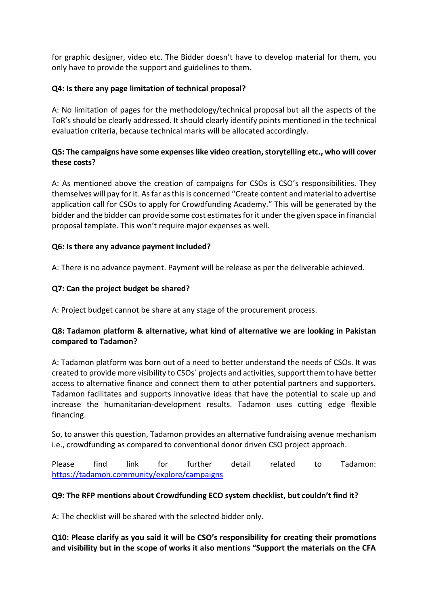for graphic designer, video etc. The Bidder doesn't have to develop material for them, you only have to provide the support and guidelines to them.

### **Q4: Is there any page limitation of technical proposal?**

A: No limitation of pages for the methodology/technical proposal but all the aspects of the ToR's should be clearly addressed. It should clearly identify points mentioned in the technical evaluation criteria, because technical marks will be allocated accordingly.

# **Q5: The campaigns have some expenses like video creation, storytelling etc., who will cover these costs?**

A: As mentioned above the creation of campaigns for CSOs is CSO's responsibilities. They themselves will pay for it. As far as this is concerned "Create content and material to advertise application call for CSOs to apply for Crowdfunding Academy." This will be generated by the bidder and the bidder can provide some cost estimates for it under the given space in financial proposal template. This won't require major expenses as well.

### **Q6: Is there any advance payment included?**

A: There is no advance payment. Payment will be release as per the deliverable achieved.

### **Q7: Can the project budget be shared?**

A: Project budget cannot be share at any stage of the procurement process.

### **Q8: Tadamon platform & alternative, what kind of alternative we are looking in Pakistan compared to Tadamon?**

A: Tadamon platform was born out of a need to better understand the needs of CSOs. It was created to provide more visibility to CSOs` projects and activities, support them to have better access to alternative finance and connect them to other potential partners and supporters. Tadamon facilitates and supports innovative ideas that have the potential to scale up and increase the humanitarian-development results. Tadamon uses cutting edge flexible financing.

So, to answer this question, Tadamon provides an alternative fundraising avenue mechanism i.e., crowdfunding as compared to conventional donor driven CSO project approach.

Please find link for further detail related to Tadamon: <https://tadamon.community/explore/campaigns>

### **Q9: The RFP mentions about Crowdfunding ECO system checklist, but couldn't find it?**

A: The checklist will be shared with the selected bidder only.

**Q10: Please clarify as you said it will be CSO's responsibility for creating their promotions and visibility but in the scope of works it also mentions "Support the materials on the CFA**